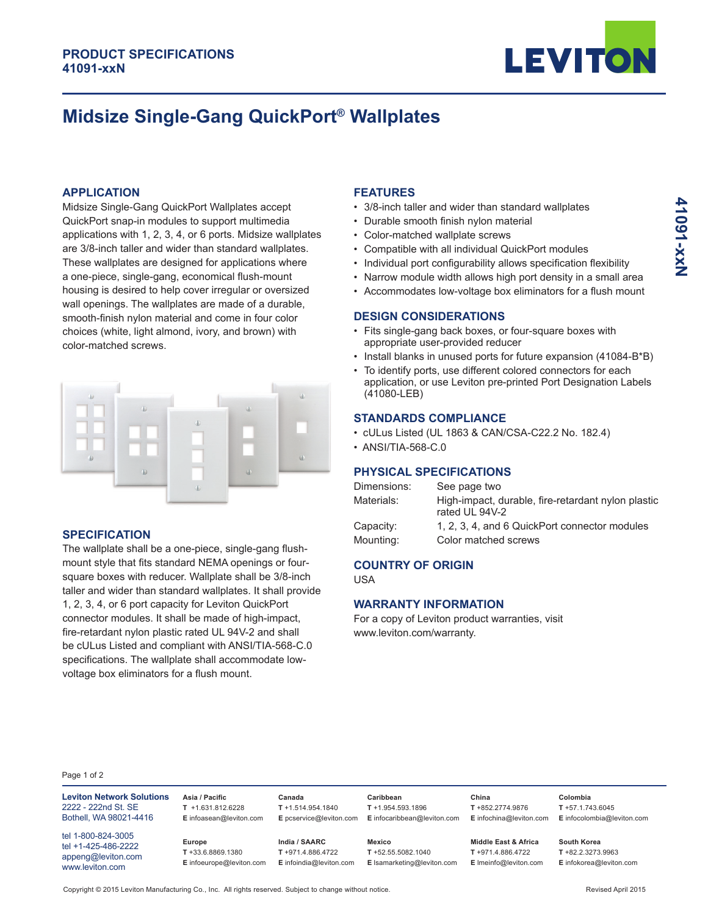

# **Midsize Single-Gang QuickPort® Wallplates**

#### **APPLICATION**

Midsize Single-Gang QuickPort Wallplates accept QuickPort snap-in modules to support multimedia applications with 1, 2, 3, 4, or 6 ports. Midsize wallplates are 3/8-inch taller and wider than standard wallplates. These wallplates are designed for applications where a one-piece, single-gang, economical flush-mount housing is desired to help cover irregular or oversized wall openings. The wallplates are made of a durable, smooth-finish nylon material and come in four color choices (white, light almond, ivory, and brown) with color-matched screws.



#### **SPECIFICATION**

The wallplate shall be a one-piece, single-gang flushmount style that fits standard NEMA openings or foursquare boxes with reducer. Wallplate shall be 3/8-inch taller and wider than standard wallplates. It shall provide 1, 2, 3, 4, or 6 port capacity for Leviton QuickPort connector modules. It shall be made of high-impact, fire-retardant nylon plastic rated UL 94V-2 and shall be cULus Listed and compliant with ANSI/TIA-568-C.0 specifications. The wallplate shall accommodate lowvoltage box eliminators for a flush mount.

#### **FEATURES**

- 3/8-inch taller and wider than standard wallplates
- Durable smooth finish nylon material
- Color-matched wallplate screws
- Compatible with all individual QuickPort modules
- Individual port configurability allows specification flexibility
- Narrow module width allows high port density in a small area
- Accommodates low-voltage box eliminators for a flush mount

#### **DESIGN CONSIDERATIONS**

- Fits single-gang back boxes, or four-square boxes with appropriate user-provided reducer
- Install blanks in unused ports for future expansion (41084-B\*B)
- To identify ports, use different colored connectors for each application, or use Leviton pre-printed Port Designation Labels (41080-LEB)

### **STANDARDS COMPLIANCE**

- cULus Listed (UL 1863 & CAN/CSA-C22.2 No. 182.4)
- ANSI/TIA-568-C.0

#### **PHYSICAL SPECIFICATIONS**

| Dimensions: | See page two                                                         |
|-------------|----------------------------------------------------------------------|
| Materials:  | High-impact, durable, fire-retardant nylon plastic<br>rated UL 94V-2 |
| Capacity:   | 1, 2, 3, 4, and 6 QuickPort connector modules                        |
| Mounting:   | Color matched screws                                                 |

## **COUNTRY OF ORIGIN**

USA

#### **WARRANTY INFORMATION**

For a copy of Leviton product warranties, visit www.leviton.com/warranty.

> **China T** +852.2774.9876 **E** infochina@leviton.com

#### Page 1 of 2

**Leviton Network Solutions** 2222 - 222nd St. SE Bothell, WA 98021-4416 tel 1-800-824-3005

tel +1-425-486-2222 appeng@leviton.com www.leviton.com

**Asia / Pacific T** +1.631.812.6228 **E** infoasean@leviton.com

**Europe T** +33.6.8869.1380 **E** infoeurope@leviton.com

**India / SAARC T** +971.4.886.4722 **E** infoindia@leviton.com

**Canada T** +1.514.954.1840

**E** pcservice@leviton.com **E** infocaribbean@leviton.com **Mexico**

**Caribbean T** +1.954.593.1896

**T** +52.55.5082.1040 **E** lsamarketing@leviton.com

**Middle East & Africa T** +971.4.886.4722 **E** lmeinfo@leviton.com **South Korea**

**T** +82.2.3273.9963 **E** infokorea@leviton.com

**Colombia T** +57.1.743.6045 **E** infocolombia@leviton.com

Copyright © 2015 Leviton Manufacturing Co., Inc. All rights reserved. Subject to change without notice. Revised April 2015